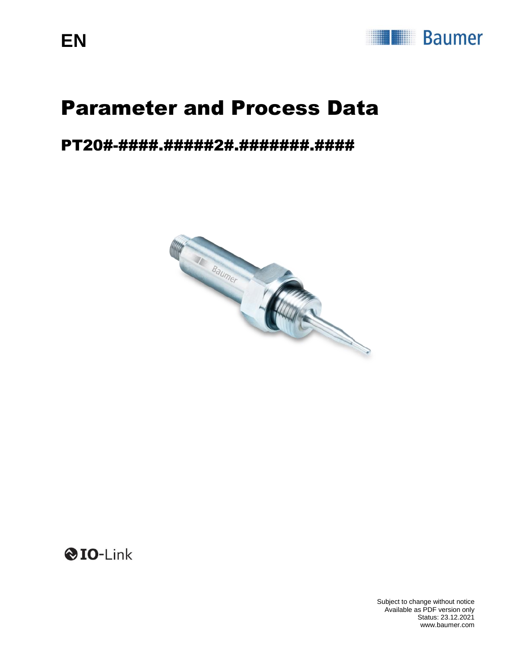

# Parameter and Process Data

### PT20#-####.#####2#.#######.####



**OIO-Link** 

Subject to change without notice Available as PDF version only Status: 23.12.2021 www.baumer.com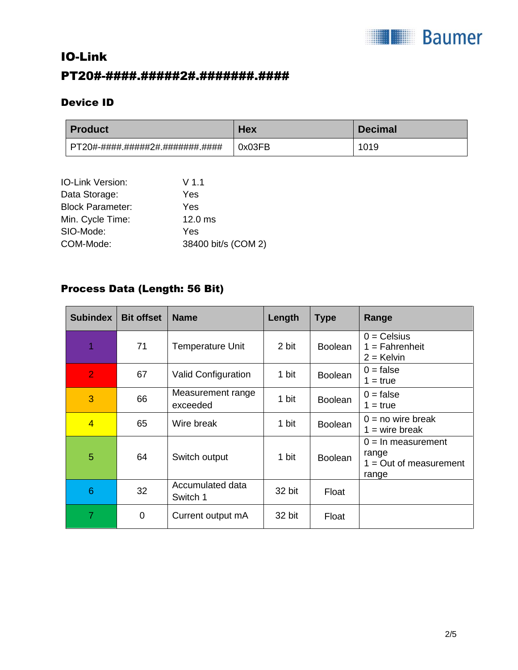

### IO-Link PT20#-####.#####2#.#######.####

#### Device ID

| <b>Product</b>                  | Hex    | <b>Decimal</b> |
|---------------------------------|--------|----------------|
| PT20#-####.#####2#.#######.#### | 0x03FB | 1019           |

| IO-Link Version:        | V <sub>1.1</sub>    |
|-------------------------|---------------------|
| Data Storage:           | Yes                 |
| <b>Block Parameter:</b> | Yes                 |
| Min. Cycle Time:        | $12.0$ ms           |
| SIO-Mode:               | Yes                 |
| COM-Mode:               | 38400 bit/s (COM 2) |

#### Process Data (Length: 56 Bit)

| <b>Subindex</b> | <b>Bit offset</b> | <b>Name</b>                   | Length | <b>Type</b>    | Range                                                               |
|-----------------|-------------------|-------------------------------|--------|----------------|---------------------------------------------------------------------|
|                 | 71                | <b>Temperature Unit</b>       | 2 bit  | <b>Boolean</b> | $0 =$ Celsius<br>$1 =$ Fahrenheit<br>$2 =$ Kelvin                   |
| $\overline{2}$  | 67                | <b>Valid Configuration</b>    | 1 bit  | <b>Boolean</b> | $0 = false$<br>$1 = true$                                           |
| 3               | 66                | Measurement range<br>exceeded | 1 bit  | <b>Boolean</b> | $0 = false$<br>$1 = true$                                           |
| $\overline{4}$  | 65                | Wire break                    | 1 bit  | <b>Boolean</b> | $0 = no$ wire break<br>$1 = wire break$                             |
| 5               | 64                | Switch output                 | 1 bit  | <b>Boolean</b> | $0 = \ln$ measurement<br>range<br>$1 = Out of measurement$<br>range |
| 6               | 32                | Accumulated data<br>Switch 1  | 32 bit | Float          |                                                                     |
| 7               | 0                 | Current output mA             | 32 bit | Float          |                                                                     |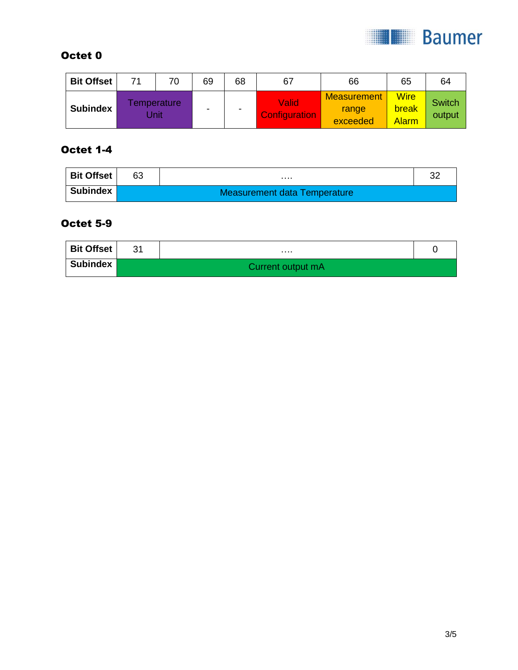

#### Octet 0

| <b>Bit Offset</b> | 71 | 70                 | 69 | 68 | 67                                   | 66                                      | 65                                   | 64                      |
|-------------------|----|--------------------|----|----|--------------------------------------|-----------------------------------------|--------------------------------------|-------------------------|
| <b>Subindex</b>   |    | emperature<br>Jnit | -  | -  | <b>Valid</b><br><b>Configuration</b> | <b>Measurement</b><br>range<br>exceeded | <b>Wire</b><br>break<br><b>Alarm</b> | <b>Switch</b><br>output |

#### Octet 1-4

| Bit Offset | 63 |                              | ົ |  |  |  |  |  |
|------------|----|------------------------------|---|--|--|--|--|--|
| Subindex   |    | Measurement data Temperature |   |  |  |  |  |  |

#### Octet 5-9

| <b>Bit Offset</b> | 31 | .                 |  |
|-------------------|----|-------------------|--|
| <b>Subindex</b>   |    | Current output mA |  |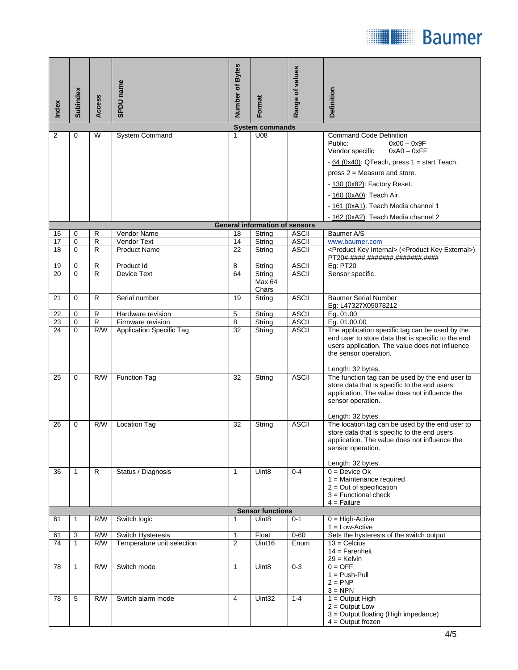

| Index           | Subindex                | Access              | SPDU name                                            | Number of Bytes | Format                                       | Range of values              | Definition                                                                                                                                                                                                                                                                                                                   |  |  |  |  |
|-----------------|-------------------------|---------------------|------------------------------------------------------|-----------------|----------------------------------------------|------------------------------|------------------------------------------------------------------------------------------------------------------------------------------------------------------------------------------------------------------------------------------------------------------------------------------------------------------------------|--|--|--|--|
|                 | <b>System commands</b>  |                     |                                                      |                 |                                              |                              |                                                                                                                                                                                                                                                                                                                              |  |  |  |  |
| 2               | 0                       | W                   | System Command                                       | 1               | U08<br><b>General information of sensors</b> |                              | <b>Command Code Definition</b><br>Public:<br>$0x00 - 0x9F$<br>Vendor specific<br>$0xA0 - 0xFF$<br>$-64$ (0x40): QTeach, press $1 =$ start Teach,<br>press $2$ = Measure and store.<br>- 130 (0x82): Factory Reset.<br>- 160 (0xA0): Teach Air.<br>- 161 (0xA1): Teach Media channel 1<br>- 162 (0xA2): Teach Media channel 2 |  |  |  |  |
| 16              | $\mathbf 0$             | R                   | Vendor Name                                          | 18              | String                                       | <b>ASCII</b>                 | Baumer A/S                                                                                                                                                                                                                                                                                                                   |  |  |  |  |
| 17              | 0                       | $\mathsf{R}$        | Vendor Text                                          | 14              | String                                       | <b>ASCII</b>                 | www.baumer.com                                                                                                                                                                                                                                                                                                               |  |  |  |  |
| 18              | 0                       | R                   | <b>Product Name</b>                                  | 22              | String                                       | <b>ASCII</b>                 | <product internal="" key=""> (<product external="" key="">)<br/>PT20#-####.#######.#######.####</product></product>                                                                                                                                                                                                          |  |  |  |  |
| <u>19</u>       | 0                       | R                   | Product Id                                           | 8               | String                                       | <b>ASCII</b>                 | <b>Eg: PT20</b>                                                                                                                                                                                                                                                                                                              |  |  |  |  |
| $\overline{20}$ | $\Omega$                | R                   | <b>Device Text</b>                                   | 64              | String<br>Max 64<br>Chars                    | <b>ASCII</b>                 | Sensor specific.                                                                                                                                                                                                                                                                                                             |  |  |  |  |
| 21              | 0                       | $\mathsf{R}$        | Serial number                                        | 19              | String                                       | <b>ASCII</b>                 | <b>Baumer Serial Number</b><br>Eg: L47327X05078212                                                                                                                                                                                                                                                                           |  |  |  |  |
| 22              | 0                       | $\mathsf{R}$        | Hardware revision                                    | 5               | String                                       | <b>ASCII</b>                 | Eg. 01.00                                                                                                                                                                                                                                                                                                                    |  |  |  |  |
| 23<br>24        | $\mathbf 0$<br>$\Omega$ | $\mathsf{R}$<br>R/W | Firmware revision<br><b>Application Specific Tag</b> | 8<br>32         | String<br>String                             | <b>ASCII</b><br><b>ASCII</b> | Eg. 01.00.00<br>The application specific tag can be used by the                                                                                                                                                                                                                                                              |  |  |  |  |
| 25              | 0                       | R/W                 | <b>Function Tag</b>                                  | 32              | String                                       | <b>ASCII</b>                 | end user to store data that is specific to the end<br>users application. The value does not influence<br>the sensor operation.<br>Length: 32 bytes.<br>The function tag can be used by the end user to                                                                                                                       |  |  |  |  |
|                 |                         |                     |                                                      |                 |                                              |                              | store data that is specific to the end users<br>application. The value does not influence the<br>sensor operation.<br>Length: 32 bytes.                                                                                                                                                                                      |  |  |  |  |
| 26              | 0                       | R/W                 | <b>Location Tag</b>                                  | 32              | String                                       | <b>ASCII</b>                 | The location tag can be used by the end user to<br>store data that is specific to the end users<br>application. The value does not influence the<br>sensor operation.<br>Length: 32 bytes.                                                                                                                                   |  |  |  |  |
| 36              | $\mathbf{1}$            | R                   | Status / Diagnosis                                   | $\mathbf{1}$    | Uint <sub>8</sub>                            | $0 - 4$                      | $0 = Device Ok$<br>$1 =$ Maintenance required<br>$2 = Out of specification$<br>$3$ = Functional check<br>$4 =$ Failure                                                                                                                                                                                                       |  |  |  |  |
|                 |                         |                     |                                                      |                 | <b>Sensor functions</b>                      |                              |                                                                                                                                                                                                                                                                                                                              |  |  |  |  |
| 61              | 1                       | R/W                 | Switch logic                                         | 1               | Uint <sub>8</sub>                            | $0 - 1$                      | $0 = High-Active$<br>$1 = Low-Active$                                                                                                                                                                                                                                                                                        |  |  |  |  |
| 61              | 3                       | R/W                 | Switch Hysteresis                                    | $\mathbf{1}$    | Float                                        | $0 - 60$                     | Sets the hysteresis of the switch output                                                                                                                                                                                                                                                                                     |  |  |  |  |
| 74              | $\mathbf{1}$            | R/W                 | Temperature unit selection                           | 2               | Uint16                                       | Enum                         | $13 =$ Celcius<br>$14 =$ Farenheit<br>$29 =$ Kelvin                                                                                                                                                                                                                                                                          |  |  |  |  |
| 78              | 1                       | R/W                 | Switch mode                                          | 1               | Uint <sub>8</sub>                            | $0 - 3$                      | $0 = OFF$<br>$1 = Push-Pull$<br>$2 = PNP$<br>$3 = NPN$                                                                                                                                                                                                                                                                       |  |  |  |  |
| 78              | 5                       | R/W                 | Switch alarm mode                                    | 4               | Uint32                                       | $1 - 4$                      | $1 =$ Output High<br>$2 =$ Output Low<br>3 = Output floating (High impedance)<br>$4 =$ Output frozen                                                                                                                                                                                                                         |  |  |  |  |